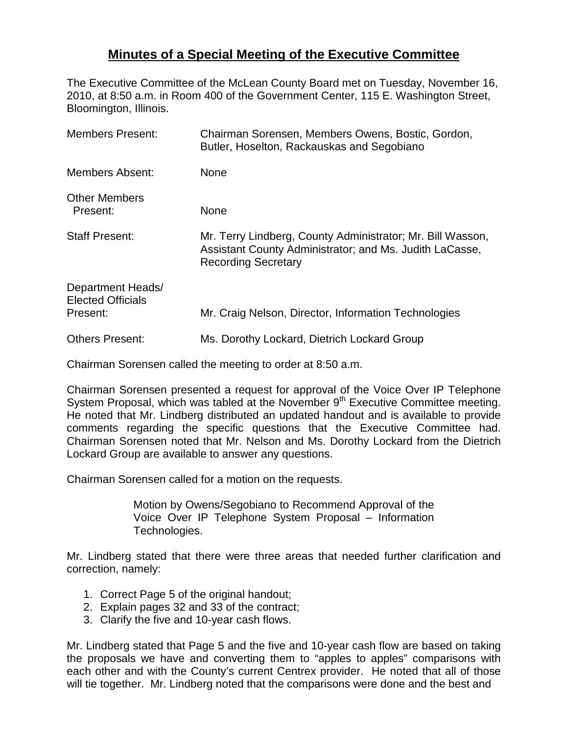## **Minutes of a Special Meeting of the Executive Committee**

The Executive Committee of the McLean County Board met on Tuesday, November 16, 2010, at 8:50 a.m. in Room 400 of the Government Center, 115 E. Washington Street, Bloomington, Illinois.

| <b>Members Present:</b>                                   | Chairman Sorensen, Members Owens, Bostic, Gordon,<br>Butler, Hoselton, Rackauskas and Segobiano                                                     |
|-----------------------------------------------------------|-----------------------------------------------------------------------------------------------------------------------------------------------------|
| <b>Members Absent:</b>                                    | <b>None</b>                                                                                                                                         |
| <b>Other Members</b><br>Present:                          | None                                                                                                                                                |
| <b>Staff Present:</b>                                     | Mr. Terry Lindberg, County Administrator; Mr. Bill Wasson,<br>Assistant County Administrator; and Ms. Judith LaCasse,<br><b>Recording Secretary</b> |
| Department Heads/<br><b>Elected Officials</b><br>Present: | Mr. Craig Nelson, Director, Information Technologies                                                                                                |
| <b>Others Present:</b>                                    | Ms. Dorothy Lockard, Dietrich Lockard Group                                                                                                         |

Chairman Sorensen called the meeting to order at 8:50 a.m.

Chairman Sorensen presented a request for approval of the Voice Over IP Telephone System Proposal, which was tabled at the November 9<sup>th</sup> Executive Committee meeting. He noted that Mr. Lindberg distributed an updated handout and is available to provide comments regarding the specific questions that the Executive Committee had. Chairman Sorensen noted that Mr. Nelson and Ms. Dorothy Lockard from the Dietrich Lockard Group are available to answer any questions.

Chairman Sorensen called for a motion on the requests.

Motion by Owens/Segobiano to Recommend Approval of the Voice Over IP Telephone System Proposal – Information Technologies.

Mr. Lindberg stated that there were three areas that needed further clarification and correction, namely:

- 1. Correct Page 5 of the original handout;
- 2. Explain pages 32 and 33 of the contract;
- 3. Clarify the five and 10-year cash flows.

Mr. Lindberg stated that Page 5 and the five and 10-year cash flow are based on taking the proposals we have and converting them to "apples to apples" comparisons with each other and with the County's current Centrex provider. He noted that all of those will tie together. Mr. Lindberg noted that the comparisons were done and the best and